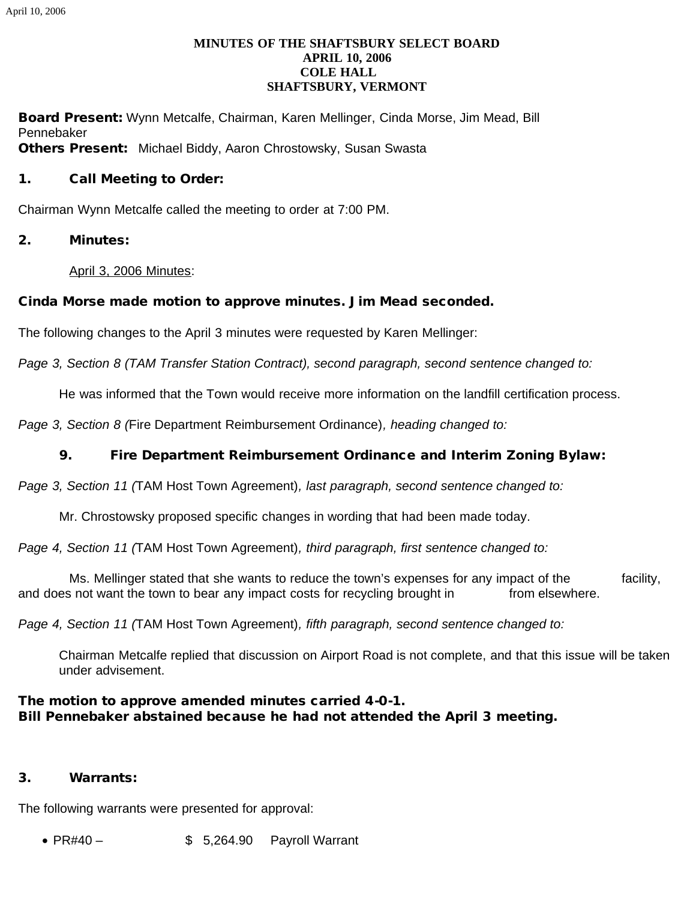### **MINUTES OF THE SHAFTSBURY SELECT BOARD APRIL 10, 2006 COLE HALL SHAFTSBURY, VERMONT**

Board Present: Wynn Metcalfe, Chairman, Karen Mellinger, Cinda Morse, Jim Mead, Bill Pennebaker **Others Present:** Michael Biddy, Aaron Chrostowsky, Susan Swasta

#### 1. Call Meeting to Order:

Chairman Wynn Metcalfe called the meeting to order at 7:00 PM.

2. Minutes:

April 3, 2006 Minutes:

### Cinda Morse made motion to approve minutes. Jim Mead seconded.

The following changes to the April 3 minutes were requested by Karen Mellinger:

*Page 3, Section 8 (TAM Transfer Station Contract), second paragraph, second sentence changed to:*

He was informed that the Town would receive more information on the landfill certification process.

*Page 3, Section 8 (*Fire Department Reimbursement Ordinance)*, heading changed to:*

### 9. Fire Department Reimbursement Ordinance and Interim Zoning Bylaw:

*Page 3, Section 11 (*TAM Host Town Agreement)*, last paragraph, second sentence changed to:*

Mr. Chrostowsky proposed specific changes in wording that had been made today.

*Page 4, Section 11 (*TAM Host Town Agreement)*, third paragraph, first sentence changed to:*

 Ms. Mellinger stated that she wants to reduce the town's expenses for any impact of the facility, and does not want the town to bear any impact costs for recycling brought in from elsewhere.

*Page 4, Section 11 (*TAM Host Town Agreement)*, fifth paragraph, second sentence changed to:*

Chairman Metcalfe replied that discussion on Airport Road is not complete, and that this issue will be taken under advisement.

### The motion to approve amended minutes carried 4-0-1. Bill Pennebaker abstained because he had not attended the April 3 meeting.

### 3. Warrants:

The following warrants were presented for approval:

• PR#40 – \$ 5.264.90 Payroll Warrant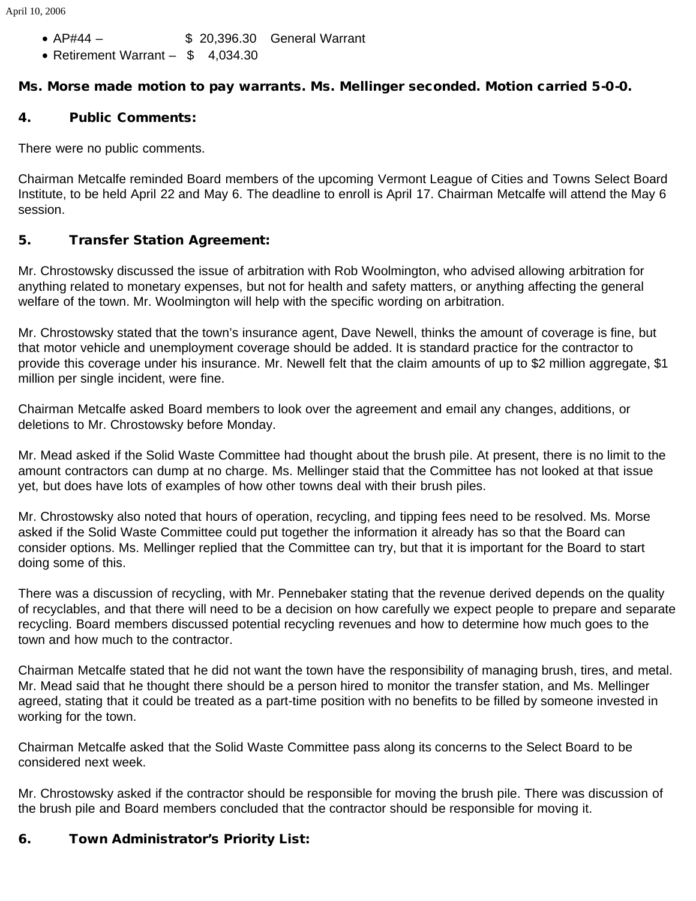April 10, 2006

- · AP#44 \$ 20,396.30 General Warrant
- Retirement Warrant \$ 4,034.30

# Ms. Morse made motion to pay warrants. Ms. Mellinger seconded. Motion carried 5-0-0.

## 4. Public Comments:

There were no public comments.

Chairman Metcalfe reminded Board members of the upcoming Vermont League of Cities and Towns Select Board Institute, to be held April 22 and May 6. The deadline to enroll is April 17. Chairman Metcalfe will attend the May 6 session.

## 5. Transfer Station Agreement:

Mr. Chrostowsky discussed the issue of arbitration with Rob Woolmington, who advised allowing arbitration for anything related to monetary expenses, but not for health and safety matters, or anything affecting the general welfare of the town. Mr. Woolmington will help with the specific wording on arbitration.

Mr. Chrostowsky stated that the town's insurance agent, Dave Newell, thinks the amount of coverage is fine, but that motor vehicle and unemployment coverage should be added. It is standard practice for the contractor to provide this coverage under his insurance. Mr. Newell felt that the claim amounts of up to \$2 million aggregate, \$1 million per single incident, were fine.

Chairman Metcalfe asked Board members to look over the agreement and email any changes, additions, or deletions to Mr. Chrostowsky before Monday.

Mr. Mead asked if the Solid Waste Committee had thought about the brush pile. At present, there is no limit to the amount contractors can dump at no charge. Ms. Mellinger staid that the Committee has not looked at that issue yet, but does have lots of examples of how other towns deal with their brush piles.

Mr. Chrostowsky also noted that hours of operation, recycling, and tipping fees need to be resolved. Ms. Morse asked if the Solid Waste Committee could put together the information it already has so that the Board can consider options. Ms. Mellinger replied that the Committee can try, but that it is important for the Board to start doing some of this.

There was a discussion of recycling, with Mr. Pennebaker stating that the revenue derived depends on the quality of recyclables, and that there will need to be a decision on how carefully we expect people to prepare and separate recycling. Board members discussed potential recycling revenues and how to determine how much goes to the town and how much to the contractor.

Chairman Metcalfe stated that he did not want the town have the responsibility of managing brush, tires, and metal. Mr. Mead said that he thought there should be a person hired to monitor the transfer station, and Ms. Mellinger agreed, stating that it could be treated as a part-time position with no benefits to be filled by someone invested in working for the town.

Chairman Metcalfe asked that the Solid Waste Committee pass along its concerns to the Select Board to be considered next week.

Mr. Chrostowsky asked if the contractor should be responsible for moving the brush pile. There was discussion of the brush pile and Board members concluded that the contractor should be responsible for moving it.

# 6. Town Administrator's Priority List: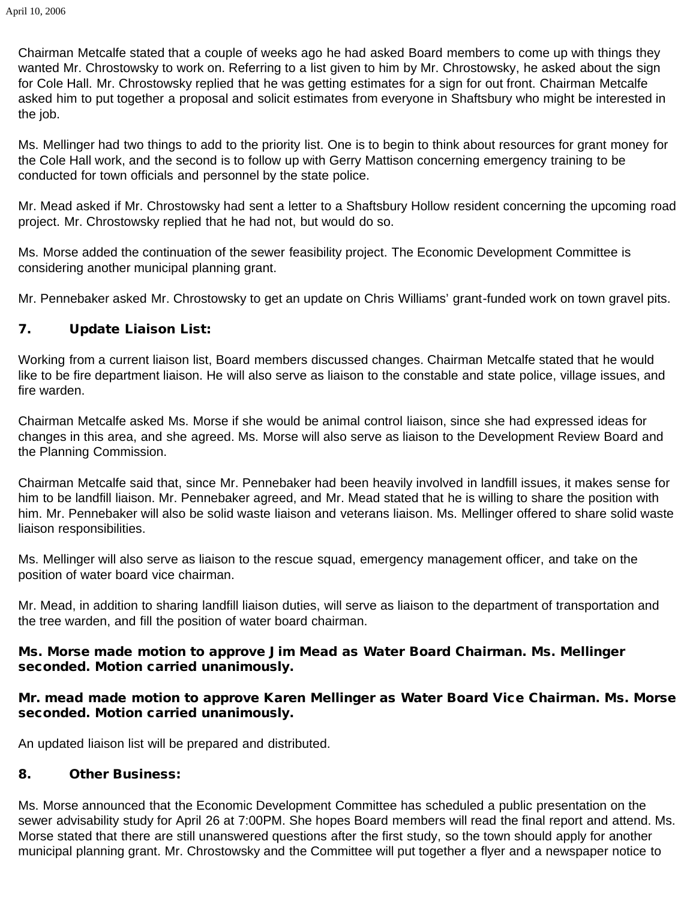Chairman Metcalfe stated that a couple of weeks ago he had asked Board members to come up with things they wanted Mr. Chrostowsky to work on. Referring to a list given to him by Mr. Chrostowsky, he asked about the sign for Cole Hall. Mr. Chrostowsky replied that he was getting estimates for a sign for out front. Chairman Metcalfe asked him to put together a proposal and solicit estimates from everyone in Shaftsbury who might be interested in the job.

Ms. Mellinger had two things to add to the priority list. One is to begin to think about resources for grant money for the Cole Hall work, and the second is to follow up with Gerry Mattison concerning emergency training to be conducted for town officials and personnel by the state police.

Mr. Mead asked if Mr. Chrostowsky had sent a letter to a Shaftsbury Hollow resident concerning the upcoming road project. Mr. Chrostowsky replied that he had not, but would do so.

Ms. Morse added the continuation of the sewer feasibility project. The Economic Development Committee is considering another municipal planning grant.

Mr. Pennebaker asked Mr. Chrostowsky to get an update on Chris Williams' grant-funded work on town gravel pits.

## 7. Update Liaison List:

Working from a current liaison list, Board members discussed changes. Chairman Metcalfe stated that he would like to be fire department liaison. He will also serve as liaison to the constable and state police, village issues, and fire warden.

Chairman Metcalfe asked Ms. Morse if she would be animal control liaison, since she had expressed ideas for changes in this area, and she agreed. Ms. Morse will also serve as liaison to the Development Review Board and the Planning Commission.

Chairman Metcalfe said that, since Mr. Pennebaker had been heavily involved in landfill issues, it makes sense for him to be landfill liaison. Mr. Pennebaker agreed, and Mr. Mead stated that he is willing to share the position with him. Mr. Pennebaker will also be solid waste liaison and veterans liaison. Ms. Mellinger offered to share solid waste liaison responsibilities.

Ms. Mellinger will also serve as liaison to the rescue squad, emergency management officer, and take on the position of water board vice chairman.

Mr. Mead, in addition to sharing landfill liaison duties, will serve as liaison to the department of transportation and the tree warden, and fill the position of water board chairman.

### Ms. Morse made motion to approve Jim Mead as Water Board Chairman. Ms. Mellinger seconded. Motion carried unanimously.

## Mr. mead made motion to approve Karen Mellinger as Water Board Vice Chairman. Ms. Morse seconded. Motion carried unanimously.

An updated liaison list will be prepared and distributed.

### 8. Other Business:

Ms. Morse announced that the Economic Development Committee has scheduled a public presentation on the sewer advisability study for April 26 at 7:00PM. She hopes Board members will read the final report and attend. Ms. Morse stated that there are still unanswered questions after the first study, so the town should apply for another municipal planning grant. Mr. Chrostowsky and the Committee will put together a flyer and a newspaper notice to